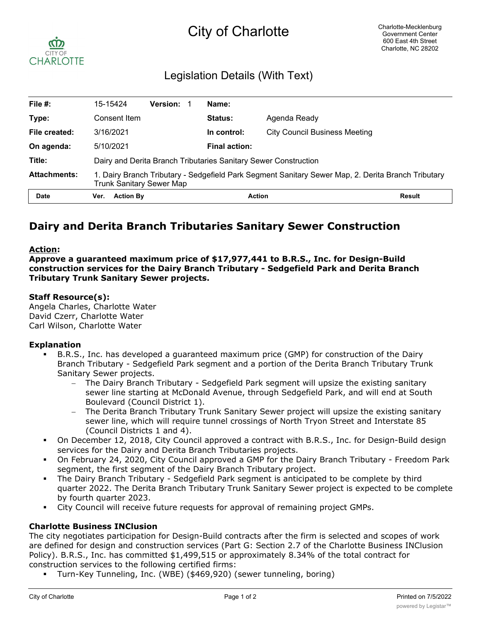# City of Charlotte



# Legislation Details (With Text)

| File $#$ :          | 15-15424                                                                                                                              | <b>Version:</b> |  | Name:                |                               |               |
|---------------------|---------------------------------------------------------------------------------------------------------------------------------------|-----------------|--|----------------------|-------------------------------|---------------|
| Type:               | Consent Item                                                                                                                          |                 |  | <b>Status:</b>       | Agenda Ready                  |               |
| File created:       | 3/16/2021                                                                                                                             |                 |  | In control:          | City Council Business Meeting |               |
| On agenda:          | 5/10/2021                                                                                                                             |                 |  | <b>Final action:</b> |                               |               |
| Title:              | Dairy and Derita Branch Tributaries Sanitary Sewer Construction                                                                       |                 |  |                      |                               |               |
| <b>Attachments:</b> | 1. Dairy Branch Tributary - Sedgefield Park Segment Sanitary Sewer Map, 2. Derita Branch Tributary<br><b>Trunk Sanitary Sewer Map</b> |                 |  |                      |                               |               |
| <b>Date</b>         | <b>Action By</b><br>Ver.                                                                                                              |                 |  | <b>Action</b>        |                               | <b>Result</b> |

# **Dairy and Derita Branch Tributaries Sanitary Sewer Construction**

### **Action:**

**Approve a guaranteed maximum price of \$17,977,441 to B.R.S., Inc. for Design-Build construction services for the Dairy Branch Tributary - Sedgefield Park and Derita Branch Tributary Trunk Sanitary Sewer projects.**

# **Staff Resource(s):**

Angela Charles, Charlotte Water David Czerr, Charlotte Water Carl Wilson, Charlotte Water

#### **Explanation**

- § B.R.S., Inc. has developed a guaranteed maximum price (GMP) for construction of the Dairy Branch Tributary - Sedgefield Park segment and a portion of the Derita Branch Tributary Trunk Sanitary Sewer projects.
	- The Dairy Branch Tributary Sedgefield Park segment will upsize the existing sanitary sewer line starting at McDonald Avenue, through Sedgefield Park, and will end at South Boulevard (Council District 1).
	- The Derita Branch Tributary Trunk Sanitary Sewer project will upsize the existing sanitary sewer line, which will require tunnel crossings of North Tryon Street and Interstate 85 (Council Districts 1 and 4).
- § On December 12, 2018, City Council approved a contract with B.R.S., Inc. for Design-Build design services for the Dairy and Derita Branch Tributaries projects.
- § On February 24, 2020, City Council approved a GMP for the Dairy Branch Tributary Freedom Park segment, the first segment of the Dairy Branch Tributary project.
- The Dairy Branch Tributary Sedgefield Park segment is anticipated to be complete by third quarter 2022. The Derita Branch Tributary Trunk Sanitary Sewer project is expected to be complete by fourth quarter 2023.
- § City Council will receive future requests for approval of remaining project GMPs.

# **Charlotte Business INClusion**

The city negotiates participation for Design-Build contracts after the firm is selected and scopes of work are defined for design and construction services (Part G: Section 2.7 of the Charlotte Business INClusion Policy). B.R.S., Inc. has committed \$1,499,515 or approximately 8.34% of the total contract for construction services to the following certified firms:

§ Turn-Key Tunneling, Inc. (WBE) (\$469,920) (sewer tunneling, boring)